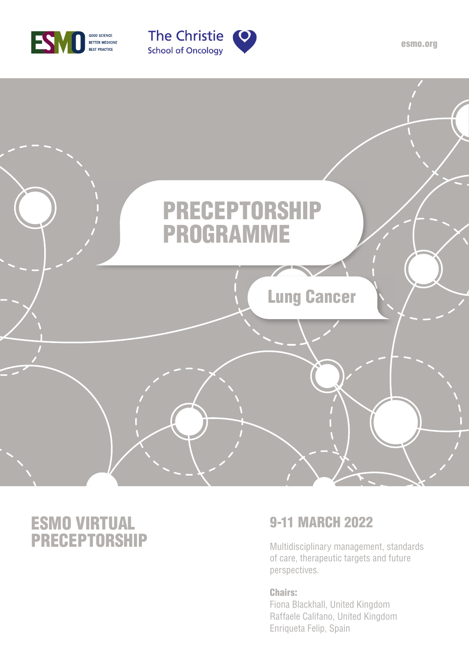





# ESMO VIRTUAL **PRECEPTORSHIP** Multidisciplinary management, standards

# 9-11 MARCH 2022

of care, therapeutic targets and future perspectives.

### Chairs:

Fiona Blackhall, United Kingdom Raffaele Califano, United Kingdom Enriqueta Felip, Spain

esmo.org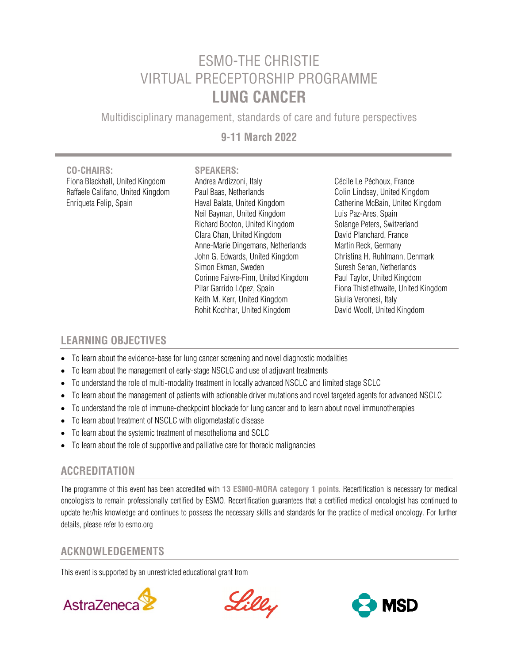# ESMO-THE CHRISTIE VIRTUAL PRECEPTORSHIP PROGRAMME **LUNG CANCER**

Multidisciplinary management, standards of care and future perspectives

### **9-11 March 2022**

**CO-CHAIRS: SPEAKERS:** Fiona Blackhall, United Kingdom Andrea Ardizzoni, Italy Cécile Le Péchoux, France

Raffaele Califano, United Kingdom Paul Baas, Netherlands Colin Lindsay, United Kingdom Enriqueta Felip, Spain Haval Balata, United Kingdom Catherine McBain, United Kingdom Neil Bayman, United Kingdom Luis Paz-Ares, Spain Richard Booton, United Kingdom Solange Peters, Switzerland Clara Chan, United Kingdom David Planchard, France Anne-Marie Dingemans, Netherlands Martin Reck, Germany John G. Edwards, United Kingdom Christina H. Ruhlmann, Denmark Simon Ekman, Sweden Suresh Senan, Netherlands Corinne Faivre-Finn, United Kingdom Paul Taylor, United Kingdom Pilar Garrido López, Spain Fiona Thistlethwaite, United Kingdom Keith M. Kerr, United Kingdom Giulia Veronesi, Italy Rohit Kochhar, United Kingdom David Woolf, United Kingdom

### **LEARNING OBJECTIVES**

- To learn about the evidence-base for lung cancer screening and novel diagnostic modalities
- To learn about the management of early-stage NSCLC and use of adjuvant treatments
- To understand the role of multi-modality treatment in locally advanced NSCLC and limited stage SCLC
- To learn about the management of patients with actionable driver mutations and novel targeted agents for advanced NSCLC
- To understand the role of immune-checkpoint blockade for lung cancer and to learn about novel immunotherapies
- To learn about treatment of NSCLC with oligometastatic disease
- To learn about the systemic treatment of mesothelioma and SCLC
- To learn about the role of supportive and palliative care for thoracic malignancies

### **ACCREDITATION**  j

The programme of this event has been accredited with **13 ESMO-MORA category 1 points**. Recertification is necessary for medical oncologists to remain professionally certified by ESMO. Recertification guarantees that a certified medical oncologist has continued to update her/his knowledge and continues to possess the necessary skills and standards for the practice of medical oncology. For further details, please refer to esmo.org

### **ACKNOWLEDGEMENTS**

This event is supported by an unrestricted educational grant from



Lilly

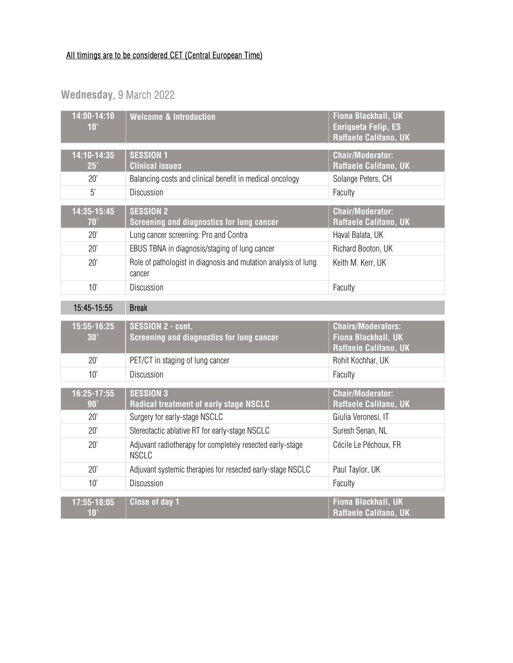## All timings are to be considered CET (Central European Time)

# **Wednesday**, 9 March 2022

| 14:00-14:10<br>10' | <b>Welcome &amp; Introduction</b>                                         | Fiona Blackhall, UK<br><b>Enriqueta Felip, ES</b><br>Raffaele Califano, UK |
|--------------------|---------------------------------------------------------------------------|----------------------------------------------------------------------------|
| 14:10-14:35<br>25' | <b>SESSION 1</b><br><b>Clinical issues</b>                                | <b>Chair/Moderator:</b><br>Raffaele Califano, UK                           |
| 20'                | Balancing costs and clinical benefit in medical oncology                  | Solange Peters, CH                                                         |
| 5'                 | Discussion                                                                | Faculty                                                                    |
| 14:35-15:45<br>70' | <b>SESSION 2</b><br>Screening and diagnostics for lung cancer             | <b>Chair/Moderator:</b><br><b>Raffaele Califano, UK</b>                    |
| 20'                | Lung cancer screening: Pro and Contra                                     | Haval Balata, UK                                                           |
| 20'                | EBUS TBNA in diagnosis/staging of lung cancer                             | Richard Booton, UK                                                         |
| 20'                | Role of pathologist in diagnosis and mutation analysis of lung<br>cancer  | Keith M. Kerr, UK                                                          |
| 10'                | <b>Discussion</b>                                                         | Faculty                                                                    |
| 15:45-15:55        | <b>Break</b>                                                              |                                                                            |
|                    |                                                                           |                                                                            |
| 15:55-16:25<br>30' | <b>SESSION 2 - cont.</b><br>Screening and diagnostics for lung cancer     | <b>Chairs/Moderators:</b><br>Fiona Blackhall, UK<br>Raffaele Califano, UK  |
| 20'                | PET/CT in staging of lung cancer                                          | Rohit Kochhar, UK                                                          |
| 10'                | Discussion                                                                | Faculty                                                                    |
| 16:25-17:55<br>90' | <b>SESSION 3</b><br>Radical treatment of early stage NSCLC                | <b>Chair/Moderator:</b><br>Raffaele Califano, UK                           |
| 20'                | Surgery for early-stage NSCLC                                             | Giulia Veronesi, IT                                                        |
| 20'                | Stereotactic ablative RT for early-stage NSCLC                            | Suresh Senan, NL                                                           |
| 20'                | Adjuvant radiotherapy for completely resected early-stage<br><b>NSCLC</b> | Cécile Le Péchoux, FR                                                      |
| 20'                | Adjuvant systemic therapies for resected early-stage NSCLC                | Paul Taylor, UK                                                            |
| 10'                | Discussion                                                                | Faculty                                                                    |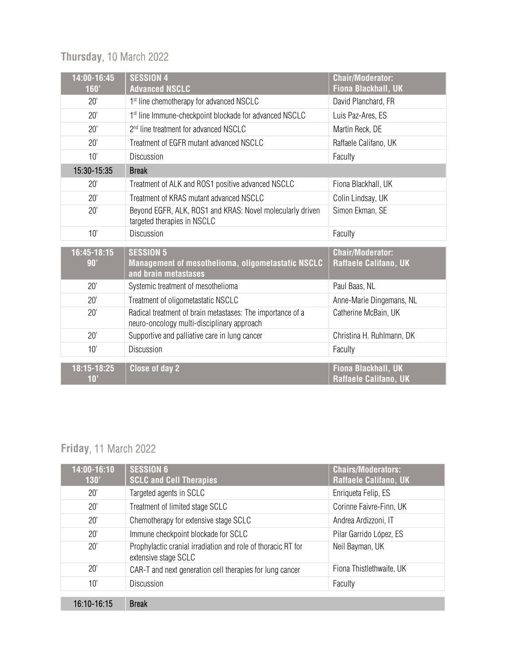# **Thursday**, 10 March 2022

| $\overline{14:00-16:45}$<br>160' | <b>SESSION 4</b><br><b>Advanced NSCLC</b>                                                                | <b>Chair/Moderator:</b><br><b>Fiona Blackhall, UK</b> |
|----------------------------------|----------------------------------------------------------------------------------------------------------|-------------------------------------------------------|
| 20'                              | 1 <sup>st</sup> line chemotherapy for advanced NSCLC                                                     | David Planchard, FR                                   |
| 20'                              | 1st line Immune-checkpoint blockade for advanced NSCLC                                                   | Luis Paz-Ares, ES                                     |
| 20'                              | 2 <sup>nd</sup> line treatment for advanced NSCLC                                                        | Martin Reck, DE                                       |
| 20'                              | Treatment of EGFR mutant advanced NSCLC                                                                  | Raffaele Califano, UK                                 |
| 10'                              | Discussion                                                                                               | Faculty                                               |
| 15:30-15:35                      | <b>Break</b>                                                                                             |                                                       |
| 20'                              | Treatment of ALK and ROS1 positive advanced NSCLC                                                        | Fiona Blackhall, UK                                   |
| 20'                              | Treatment of KRAS mutant advanced NSCLC                                                                  | Colin Lindsay, UK                                     |
| 20'                              | Beyond EGFR, ALK, ROS1 and KRAS: Novel molecularly driven<br>targeted therapies in NSCLC                 | Simon Ekman, SE                                       |
| 10'                              | Discussion                                                                                               | Faculty                                               |
| 16:45-18:15<br>90'               | <b>SESSION 5</b><br>Management of mesothelioma, oligometastatic NSCLC<br>and brain metastases            | <b>Chair/Moderator:</b><br>Raffaele Califano, UK      |
| 20'                              | Systemic treatment of mesothelioma                                                                       | Paul Baas, NL                                         |
| 20'                              | Treatment of oligometastatic NSCLC                                                                       | Anne-Marie Dingemans, NL                              |
| 20'                              | Radical treatment of brain metastases: The importance of a<br>neuro-oncology multi-disciplinary approach | Catherine McBain, UK                                  |
| 20'                              | Supportive and palliative care in lung cancer                                                            | Christina H. Ruhlmann, DK                             |
| 10'                              | <b>Discussion</b>                                                                                        | Faculty                                               |
| 18:15-18:25<br>10'               | <b>Close of day 2</b>                                                                                    | Fiona Blackhall, UK<br>Raffaele Califano, UK          |

# **Friday**, 11 March 2022

| 14:00-16:10<br>130' | <b>SESSION 6</b><br><b>SCLC and Cell Therapies</b>                                   | <b>Chairs/Moderators:</b><br><b>Raffaele Califano, UK</b> |
|---------------------|--------------------------------------------------------------------------------------|-----------------------------------------------------------|
| 20'                 | Targeted agents in SCLC                                                              | Enriqueta Felip, ES                                       |
| 20'                 | Treatment of limited stage SCLC                                                      | Corinne Faivre-Finn, UK                                   |
| 20'                 | Chemotherapy for extensive stage SCLC                                                | Andrea Ardizzoni, IT                                      |
| 20'                 | Immune checkpoint blockade for SCLC                                                  | Pilar Garrido López, ES                                   |
| 20'                 | Prophylactic cranial irradiation and role of thoracic RT for<br>extensive stage SCLC | Neil Bayman, UK                                           |
| 20'                 | CAR-T and next generation cell therapies for lung cancer                             | Fiona Thistlethwaite, UK                                  |
| 10'                 | Discussion                                                                           | Faculty                                                   |
| 16:10-16:15         | <b>Break</b>                                                                         |                                                           |